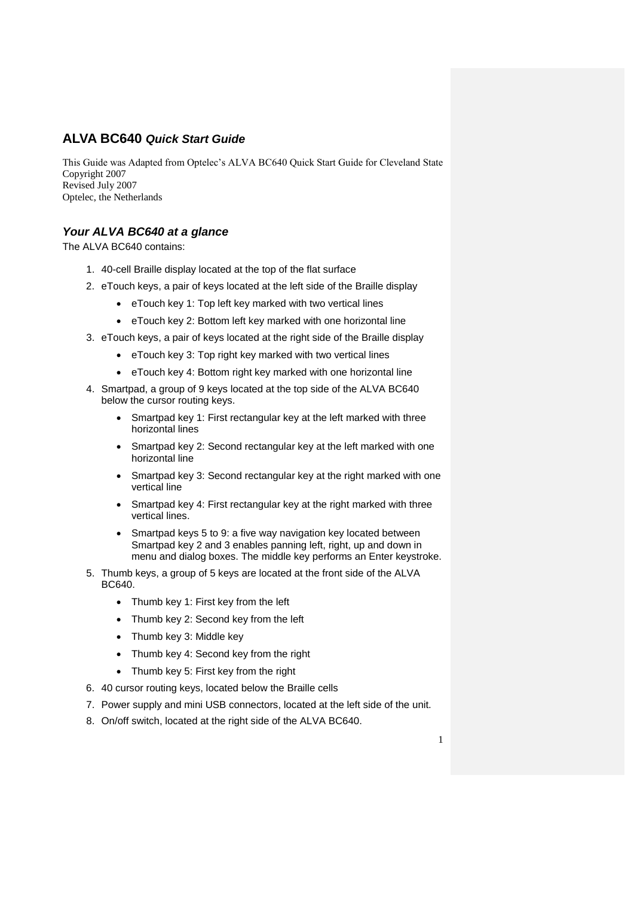## **ALVA BC640** *Quick Start Guide*

This Guide was Adapted from Optelec's ALVA BC640 Quick Start Guide for Cleveland State Copyright 2007 Revised July 2007 Optelec, the Netherlands

## *Your ALVA BC640 at a glance*

The ALVA BC640 contains:

- 1. 40-cell Braille display located at the top of the flat surface
- 2. eTouch keys, a pair of keys located at the left side of the Braille display
	- eTouch key 1: Top left key marked with two vertical lines
	- eTouch key 2: Bottom left key marked with one horizontal line
- 3. eTouch keys, a pair of keys located at the right side of the Braille display
	- eTouch key 3: Top right key marked with two vertical lines
	- eTouch key 4: Bottom right key marked with one horizontal line
- 4. Smartpad, a group of 9 keys located at the top side of the ALVA BC640 below the cursor routing keys.
	- Smartpad key 1: First rectangular key at the left marked with three horizontal lines
	- Smartpad key 2: Second rectangular key at the left marked with one horizontal line
	- Smartpad key 3: Second rectangular key at the right marked with one vertical line
	- Smartpad key 4: First rectangular key at the right marked with three vertical lines.
	- Smartpad keys 5 to 9: a five way navigation key located between Smartpad key 2 and 3 enables panning left, right, up and down in menu and dialog boxes. The middle key performs an Enter keystroke.
- 5. Thumb keys, a group of 5 keys are located at the front side of the ALVA BC640.
	- Thumb key 1: First key from the left
	- Thumb key 2: Second key from the left
	- Thumb key 3: Middle key
	- Thumb key 4: Second key from the right
	- Thumb key 5: First key from the right
- 6. 40 cursor routing keys, located below the Braille cells
- 7. Power supply and mini USB connectors, located at the left side of the unit.
- 8. On/off switch, located at the right side of the ALVA BC640.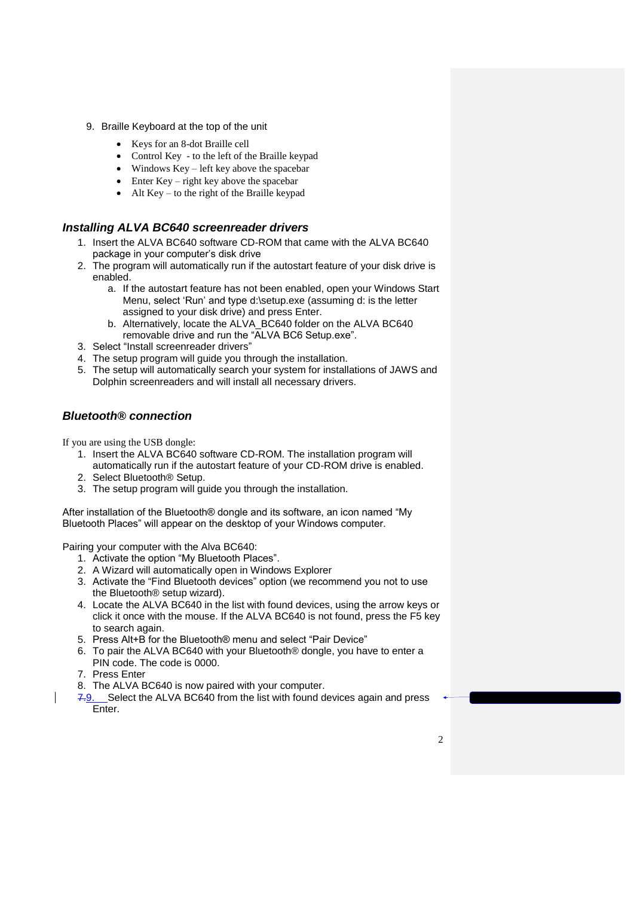- 9. Braille Keyboard at the top of the unit
	- Keys for an 8-dot Braille cell
	- Control Key to the left of the Braille keypad
	- $\bullet$  Windows Key left key above the spacebar
	- $\bullet$  Enter Key right key above the spacebar
	- $\bullet$  Alt Key to the right of the Braille keypad

#### *Installing ALVA BC640 screenreader drivers*

- 1. Insert the ALVA BC640 software CD-ROM that came with the ALVA BC640 package in your computer"s disk drive
- 2. The program will automatically run if the autostart feature of your disk drive is enabled.
	- a. If the autostart feature has not been enabled, open your Windows Start Menu, select 'Run' and type d:\setup.exe (assuming d: is the letter assigned to your disk drive) and press Enter.
	- b. Alternatively, locate the ALVA\_BC640 folder on the ALVA BC640 removable drive and run the "ALVA BC6 Setup.exe".
- 3. Select "Install screenreader drivers"
- 4. The setup program will guide you through the installation.
- 5. The setup will automatically search your system for installations of JAWS and Dolphin screenreaders and will install all necessary drivers.

### *Bluetooth® connection*

If you are using the USB dongle:

- 1. Insert the ALVA BC640 software CD-ROM. The installation program will automatically run if the autostart feature of your CD-ROM drive is enabled.
- 2. Select Bluetooth® Setup.
- 3. The setup program will guide you through the installation.

After installation of the Bluetooth® dongle and its software, an icon named "My Bluetooth Places" will appear on the desktop of your Windows computer.

Pairing your computer with the Alva BC640:

- 1. Activate the option "My Bluetooth Places".
- 2. A Wizard will automatically open in Windows Explorer
- 3. Activate the "Find Bluetooth devices" option (we recommend you not to use the Bluetooth® setup wizard).
- 4. Locate the ALVA BC640 in the list with found devices, using the arrow keys or click it once with the mouse. If the ALVA BC640 is not found, press the F5 key to search again.
- 5. Press Alt+B for the Bluetooth® menu and select "Pair Device"
- 6. To pair the ALVA BC640 with your Bluetooth® dongle, you have to enter a PIN code. The code is 0000.
- 7. Press Enter
- 8. The ALVA BC640 is now paired with your computer.
- 7.9. Select the ALVA BC640 from the list with found devices again and press Enter.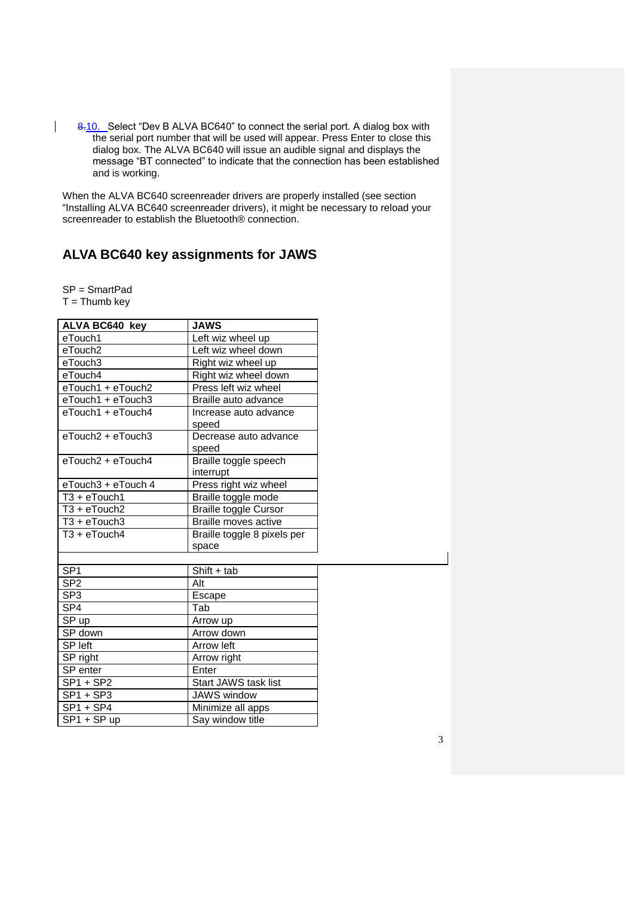8.10. Select "Dev B ALVA BC640" to connect the serial port. A dialog box with the serial port number that will be used will appear. Press Enter to close this dialog box. The ALVA BC640 will issue an audible signal and displays the message "BT connected" to indicate that the connection has been established and is working.

When the ALVA BC640 screenreader drivers are properly installed (see section "Installing ALVA BC640 screenreader drivers), it might be necessary to reload your screenreader to establish the Bluetooth® connection.

# **ALVA BC640 key assignments for JAWS**

SP = SmartPad

 $T = Thumb \, key$ 

| <b>ALVA BC640 key</b>                 | <b>JAWS</b>                  |  |
|---------------------------------------|------------------------------|--|
| eTouch1                               | Left wiz wheel up            |  |
| eTouch2                               | Left wiz wheel down          |  |
| eTouch3                               | Right wiz wheel up           |  |
| eTouch4                               | Right wiz wheel down         |  |
| eTouch1 + eTouch2                     | Press left wiz wheel         |  |
| eTouch1 + eTouch3                     | Braille auto advance         |  |
| $e$ Touch1 + $e$ Touch4               | Increase auto advance        |  |
|                                       | speed                        |  |
| $e$ Touch $2 + e$ Touch $3$           | Decrease auto advance        |  |
|                                       | speed                        |  |
| $e$ Touch $2 + e$ Touch $4$           | Braille toggle speech        |  |
|                                       | interrupt                    |  |
| eTouch3 + eTouch 4                    | Press right wiz wheel        |  |
| $T3 + eTouch1$                        | Braille toggle mode          |  |
| $\overline{13} + e\overline{1}$ ouch2 | <b>Braille toggle Cursor</b> |  |
| $T3 + eTouch3$                        | Braille moves active         |  |
| $T3 + eTouch4$                        | Braille toggle 8 pixels per  |  |
|                                       | space                        |  |
|                                       |                              |  |
| SP <sub>1</sub>                       | $Shift + tab$                |  |
| SP <sub>2</sub>                       | Alt                          |  |
| SP <sub>3</sub>                       | Escape                       |  |
| SP <sub>4</sub>                       | Tab                          |  |
| SP up                                 | Arrow up                     |  |
| SP down                               | Arrow down                   |  |
| SP left                               | Arrow left                   |  |
| SP right                              | Arrow right                  |  |
| SP enter                              | Enter                        |  |
| $SP1 + SP2$                           | <b>Start JAWS task list</b>  |  |
| $SP1 + SP3$                           | <b>JAWS</b> window           |  |
| $SP1 + SP4$                           | Minimize all apps            |  |
| SP1 + SP up                           | Say window title             |  |
|                                       |                              |  |